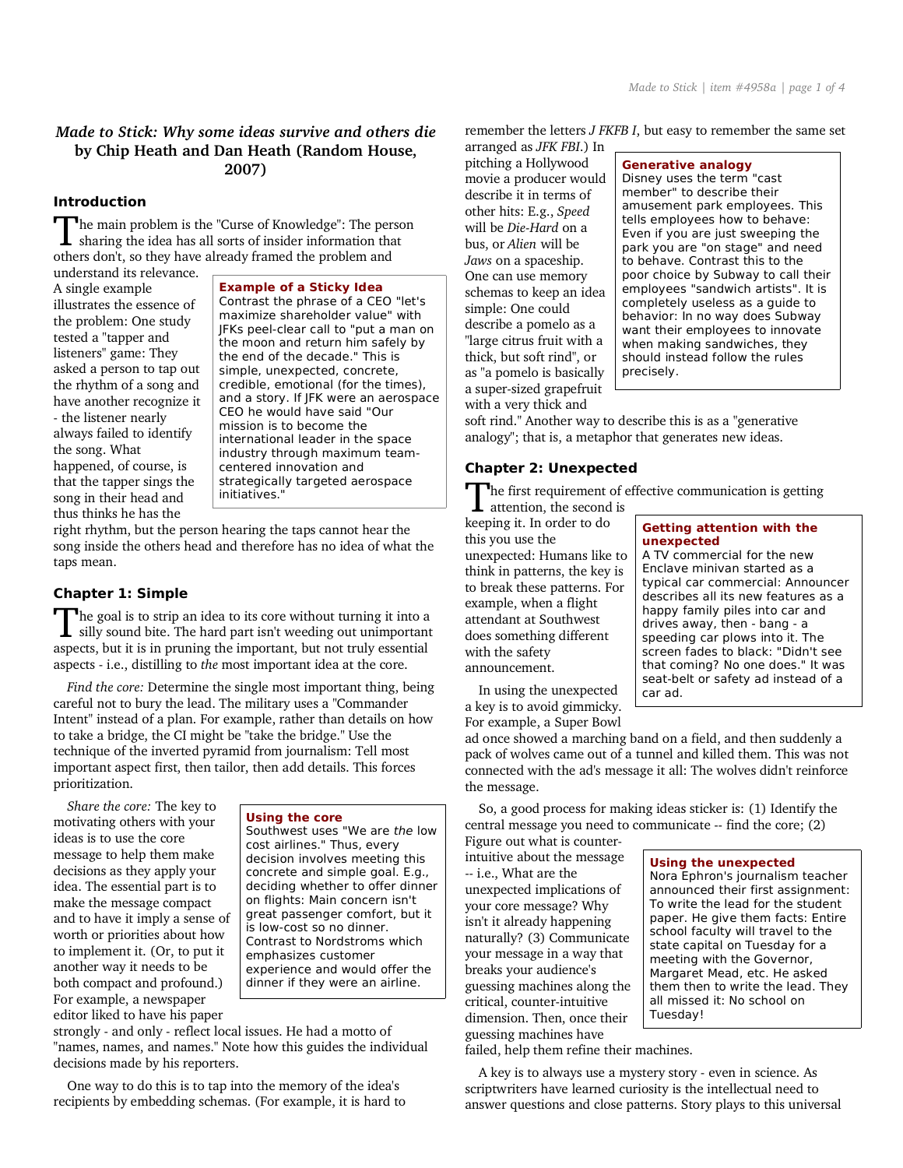# *Made to Stick: Why some ideas survive and others die* **by Chip Heath and Dan Heath (Random House, 2007)**

### **Introduction**

The main problem is the "Curse of Knowledge": The person The main problem is the "Curse of Knowledge": The persent sharing the idea has all sorts of insider information that others don't, so they have already framed the problem and

understand its relevance. A single example illustrates the essence of the problem: One study tested a "tapper and listeners" game: They asked a person to tap out the rhythm of a song and have another recognize it - the listener nearly always failed to identify the song. What happened, of course, is that the tapper sings the song in their head and thus thinks he has the

**Example of a Sticky Idea** Contrast the phrase of a CEO "let's maximize shareholder value" with JFKs peel-clear call to "put a man on the moon and return him safely by the end of the decade." This is simple, unexpected, concrete, credible, emotional (for the times), and a story. If JFK were an aerospace CEO he would have said "Our mission is to become the international leader in the space industry through maximum teamcentered innovation and strategically targeted aerospace initiatives."

right rhythm, but the person hearing the taps cannot hear the song inside the others head and therefore has no idea of what the taps mean.

## **Chapter 1: Simple**

The goal is to strip an idea to its core without turning it into a silly sound bite. The hard part isn't weeding out unimportant  $\blacksquare$  silly sound bite. The hard part isn't weeding out unimportant aspects, but it is in pruning the important, but not truly essential aspects - i.e., distilling to *the* most important idea at the core.

*Find the core:* Determine the single most important thing, being careful not to bury the lead. The military uses a "Commander Intent" instead of a plan. For example, rather than details on how to take a bridge, the CI might be "take the bridge." Use the technique of the inverted pyramid from journalism: Tell most important aspect first, then tailor, then add details. This forces prioritization.

*Share the core:* The key to motivating others with your ideas is to use the core message to help them make decisions as they apply your idea. The essential part is to make the message compact and to have it imply a sense of worth or priorities about how to implement it. (Or, to put it another way it needs to be both compact and profound.) For example, a newspaper editor liked to have his paper

#### **Using the core**

Southwest uses "We are the low cost airlines." Thus, every decision involves meeting this concrete and simple goal. E.g., deciding whether to offer dinner on flights: Main concern isn't great passenger comfort, but it is low-cost so no dinner. Contrast to Nordstroms which emphasizes customer experience and would offer the dinner if they were an airline.

strongly - and only - reflect local issues. He had a motto of "names, names, and names." Note how this guides the individual decisions made by his reporters.

One way to do this is to tap into the memory of the idea's recipients by embedding schemas. (For example, it is hard to remember the letters *J FKFB I*, but easy to remember the same set

arranged as *JFK FBI*.) In pitching a Hollywood movie a producer would describe it in terms of other hits: E.g., *Speed* will be *Die-Hard* on a bus, or *Alien* will be *Jaws* on a spaceship. One can use memory schemas to keep an idea simple: One could describe a pomelo as a "large citrus fruit with a thick, but soft rind", or as "a pomelo is basically a super-sized grapefruit with a very thick and

#### Generative analogy

Disney uses the term "cast member" to describe their amusement park employees. This tells employees how to behave: Even if you are just sweeping the park you are "on stage" and need to behave. Contrast this to the poor choice by Subway to call their employees "sandwich artists". It is completely useless as a guide to behavior: In no way does Subway want their employees to innovate when making sandwiches, they should instead follow the rules precisely.

soft rind." Another way to describe this is as a "generative analogy"; that is, a metaphor that generates new ideas.

### **Chapter 2: Unexpected**

The first requirement of effective communication is getting The first requirement of<br>attention, the second is

keeping it. In order to do this you use the unexpected: Humans like to think in patterns, the key is to break these patterns. For example, when a flight attendant at Southwest does something different with the safety announcement.

### **Getting attention with the** unexpected A TV commercial for the new

Enclave minivan started as a typical car commercial: Announcer describes all its new features as a happy family piles into car and drives away, then - bang - a speeding car plows into it. The screen fades to black: "Didn't see that coming? No one does." It was seat-belt or safety ad instead of a car ad.

In using the unexpected a key is to avoid gimmicky. For example, a Super Bowl

ad once showed a marching band on a field, and then suddenly a pack of wolves came out of a tunnel and killed them. This was not connected with the ad's message it all: The wolves didn't reinforce the message.

So, a good process for making ideas sticker is: (1) Identify the central message you need to communicate -- find the core; (2)

Figure out what is counterintuitive about the message -- i.e., What are the unexpected implications of your core message? Why isn't it already happening naturally? (3) Communicate your message in a way that breaks your audience's guessing machines along the critical, counter-intuitive dimension. Then, once their guessing machines have

#### Using the unexpected

Nora Ephron's journalism teacher announced their first assignment: To write the lead for the student paper. He give them facts: Entire school faculty will travel to the state capital on Tuesday for a meeting with the Governor, Margaret Mead, etc. He asked them then to write the lead. They all missed it: No school on Tuesday!

failed, help them refine their machines.

A key is to always use a mystery story - even in science. As scriptwriters have learned curiosity is the intellectual need to answer questions and close patterns. Story plays to this universal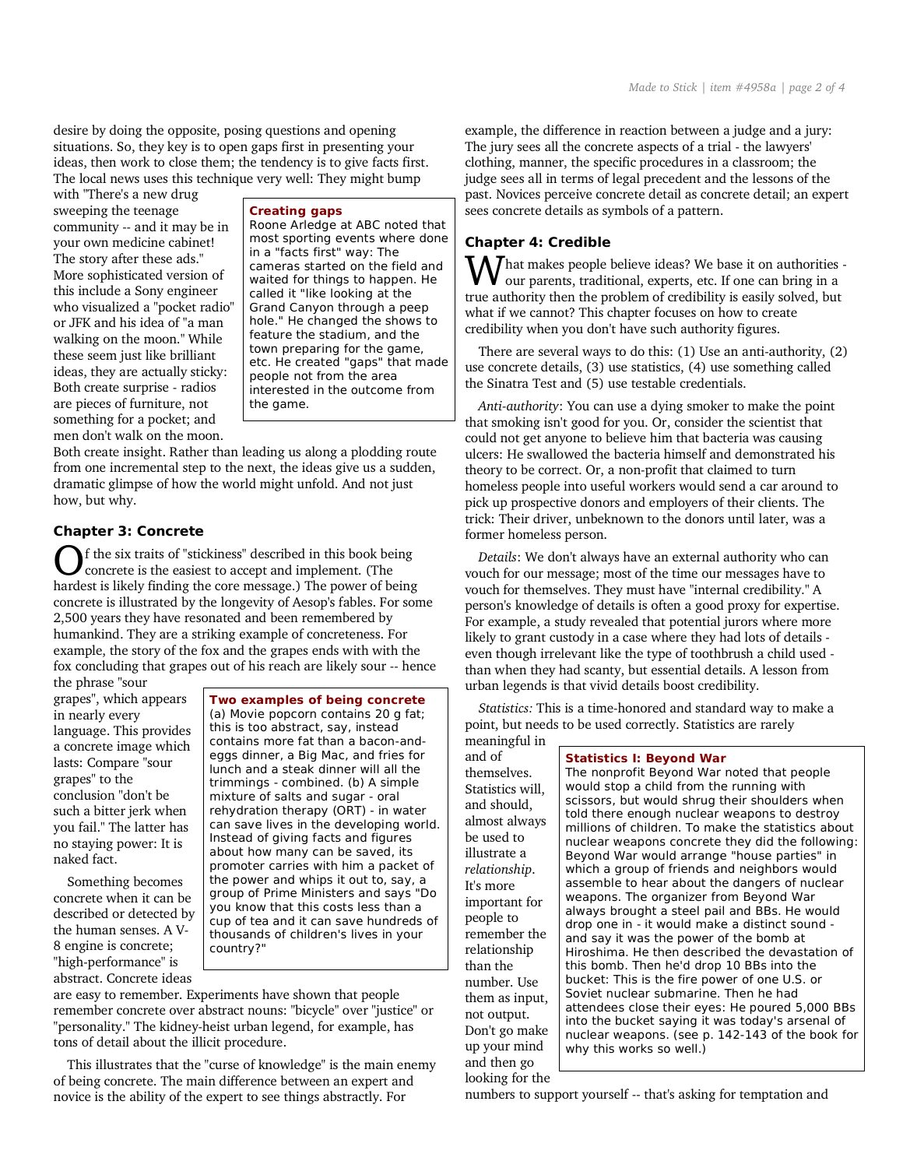desire by doing the opposite, posing questions and opening situations. So, they key is to open gaps first in presenting your ideas, then work to close them; the tendency is to give facts first. The local news uses this technique very well: They might bump

with "There's a new drug sweeping the teenage community -- and it may be in your own medicine cabinet! The story after these ads." More sophisticated version of this include a Sony engineer who visualized a "pocket radio" or JFK and his idea of "a man walking on the moon." While these seem just like brilliant ideas, they are actually sticky: Both create surprise - radios are pieces of furniture, not something for a pocket; and men don't walk on the moon.

#### Creating gaps

Roone Arledge at ABC noted that most sporting events where done in a "facts first" way: The cameras started on the field and waited for things to happen. He called it "like looking at the Grand Canyon through a peep hole." He changed the shows to feature the stadium, and the town preparing for the game, etc. He created "gaps" that made people not from the area interested in the outcome from the game.

Both create insight. Rather than leading us along a plodding route from one incremental step to the next, the ideas give us a sudden, dramatic glimpse of how the world might unfold. And not just how, but why.

## **Chapter 3: Concrete**

f the six traits of "stickiness" described in this book being concrete is the easiest to accept and implement. (The **C** f the six traits of "stickiness" described in this book being<br>concrete is the easiest to accept and implement. (The<br>hardest is likely finding the core message.) The power of being concrete is illustrated by the longevity of Aesop's fables. For some 2,500 years they have resonated and been remembered by humankind. They are a striking example of concreteness. For example, the story of the fox and the grapes ends with with the fox concluding that grapes out of his reach are likely sour -- hence the phrase "sour

grapes", which appears in nearly every language. This provides a concrete image which lasts: Compare "sour grapes" to the conclusion "don't be such a bitter jerk when you fail." The latter has no staying power: It is naked fact.

Something becomes concrete when it can be described or detected by the human senses. A V-8 engine is concrete; "high-performance" is abstract. Concrete ideas

**Two examples of being concrete** (a) Movie popcorn contains 20 g fat;

this is too abstract, say, instead contains more fat than a bacon-andeggs dinner, a Big Mac, and fries for lunch and a steak dinner will all the trimmings - combined. (b) A simple mixture of salts and sugar - oral rehydration therapy (ORT) - in water can save lives in the developing world. Instead of giving facts and figures about how many can be saved, its promoter carries with him a packet of the power and whips it out to, say, a group of Prime Ministers and says "Do you know that this costs less than a cup of tea and it can save hundreds of thousands of children's lives in your country?"

are easy to remember. Experiments have shown that people remember concrete over abstract nouns: "bicycle" over "justice" or "personality." The kidney-heist urban legend, for example, has tons of detail about the illicit procedure.

This illustrates that the "curse of knowledge" is the main enemy of being concrete. The main difference between an expert and novice is the ability of the expert to see things abstractly. For

example, the difference in reaction between a judge and a jury: The jury sees all the concrete aspects of a trial - the lawyers' clothing, manner, the specific procedures in a classroom; the judge sees all in terms of legal precedent and the lessons of the past. Novices perceive concrete detail as concrete detail; an expert sees concrete details as symbols of a pattern.

## **Chapter 4: Credible**

and of themselves. Statistics will, and should, almost always be used to illustrate a *relationship*. It's more important for people to remember the relationship than the number. Use them as input, not output. Don't go make up your mind and then go looking for the

**W** hat makes people believe ideas? We base it on authorities - our parents, traditional, experts, etc. If one can bring in a our parents, traditional, experts, etc. If one can bring in a true authority then the problem of credibility is easily solved, but what if we cannot? This chapter focuses on how to create credibility when you don't have such authority figures.

There are several ways to do this: (1) Use an anti-authority, (2) use concrete details, (3) use statistics, (4) use something called the Sinatra Test and (5) use testable credentials.

*Anti-authority*: You can use a dying smoker to make the point that smoking isn't good for you. Or, consider the scientist that could not get anyone to believe him that bacteria was causing ulcers: He swallowed the bacteria himself and demonstrated his theory to be correct. Or, a non-profit that claimed to turn homeless people into useful workers would send a car around to pick up prospective donors and employers of their clients. The trick: Their driver, unbeknown to the donors until later, was a former homeless person.

*Details*: We don't always have an external authority who can vouch for our message; most of the time our messages have to vouch for themselves. They must have "internal credibility." A person's knowledge of details is often a good proxy for expertise. For example, a study revealed that potential jurors where more likely to grant custody in a case where they had lots of details even though irrelevant like the type of toothbrush a child used than when they had scanty, but essential details. A lesson from urban legends is that vivid details boost credibility.

*Statistics:* This is a time-honored and standard way to make a point, but needs to be used correctly. Statistics are rarely meaningful in

#### **Statistics I: Beyond War**

The nonprofit Beyond War noted that people would stop a child from the running with scissors, but would shrug their shoulders when told there enough nuclear weapons to destroy millions of children. To make the statistics about nuclear weapons concrete they did the following: Beyond War would arrange "house parties" in which a group of friends and neighbors would assemble to hear about the dangers of nuclear weapons. The organizer from Beyond War always brought a steel pail and BBs. He would drop one in - it would make a distinct sound and say it was the power of the bomb at Hiroshima. He then described the devastation of this bomb. Then he'd drop 10 BBs into the bucket: This is the fire power of one U.S. or Soviet nuclear submarine. Then he had attendees close their eyes: He poured 5,000 BBs into the bucket saying it was today's arsenal of nuclear weapons. (see p. 142-143 of the book for why this works so well.)

numbers to support yourself -- that's asking for temptation and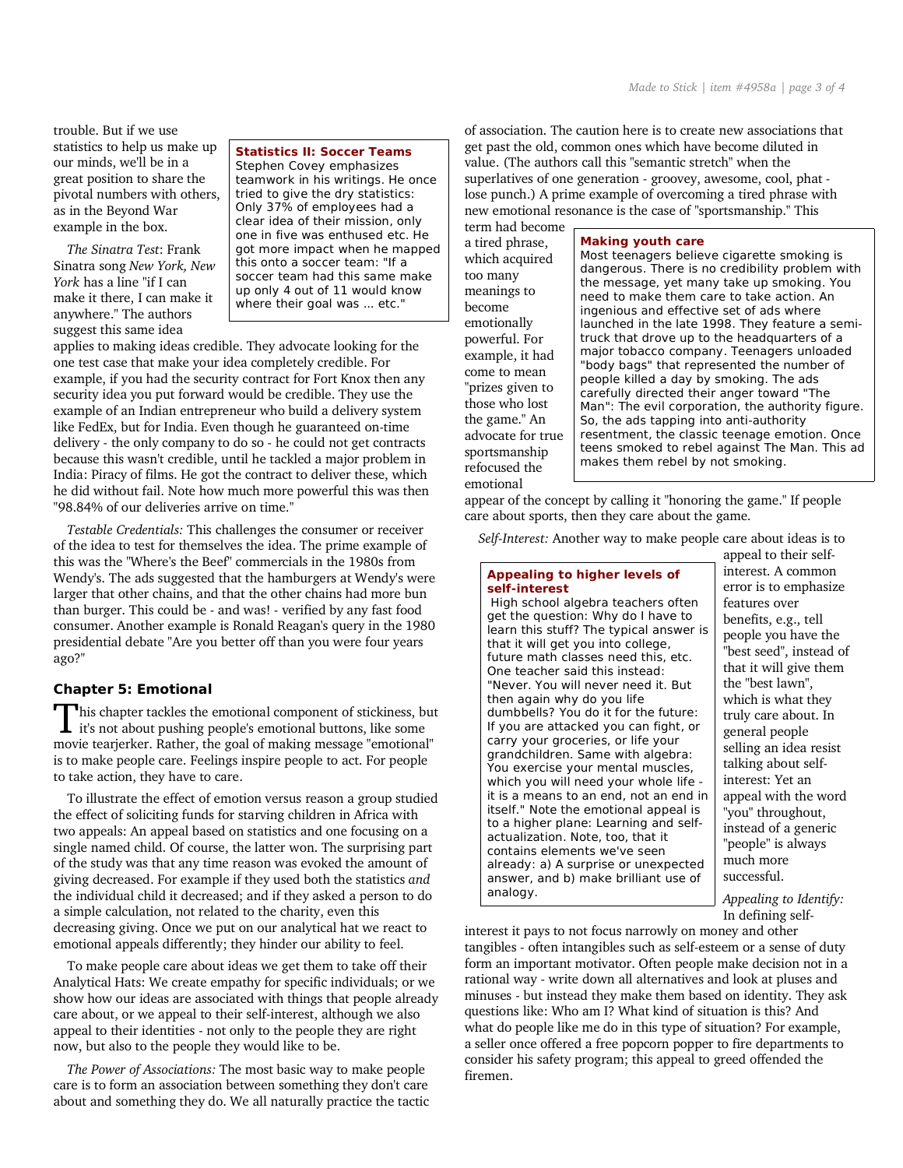trouble. But if we use statistics to help us make up our minds, we'll be in a great position to share the pivotal numbers with others, as in the Beyond War example in the box.

*The Sinatra Test*: Frank Sinatra song *New York, New York* has a line "if I can make it there, I can make it anywhere." The authors suggest this same idea

## **Statistics II: Soccer Teams**

Stephen Covey emphasizes teamwork in his writings. He once tried to give the dry statistics: Only 37% of employees had a clear idea of their mission, only one in five was enthused etc. He got more impact when he mapped this onto a soccer team: "If a soccer team had this same make up only 4 out of 11 would know where their goal was ... etc."

applies to making ideas credible. They advocate looking for the one test case that make your idea completely credible. For example, if you had the security contract for Fort Knox then any security idea you put forward would be credible. They use the example of an Indian entrepreneur who build a delivery system like FedEx, but for India. Even though he guaranteed on-time delivery - the only company to do so - he could not get contracts because this wasn't credible, until he tackled a major problem in India: Piracy of films. He got the contract to deliver these, which he did without fail. Note how much more powerful this was then "98.84% of our deliveries arrive on time."

*Testable Credentials:* This challenges the consumer or receiver of the idea to test for themselves the idea. The prime example of this was the "Where's the Beef" commercials in the 1980s from Wendy's. The ads suggested that the hamburgers at Wendy's were larger that other chains, and that the other chains had more bun than burger. This could be - and was! - verified by any fast food consumer. Another example is Ronald Reagan's query in the 1980 presidential debate "Are you better off than you were four years ago?"

## **Chapter 5: Emotional**

This chapter tackles the emotional component of stickiness, but This chapter tackles the emotional component of stickiness, but it's not about pushing people's emotional buttons, like some movie tearjerker. Rather, the goal of making message "emotional" is to make people care. Feelings inspire people to act. For people to take action, they have to care.

To illustrate the effect of emotion versus reason a group studied the effect of soliciting funds for starving children in Africa with two appeals: An appeal based on statistics and one focusing on a single named child. Of course, the latter won. The surprising part of the study was that any time reason was evoked the amount of giving decreased. For example if they used both the statistics *and* the individual child it decreased; and if they asked a person to do a simple calculation, not related to the charity, even this decreasing giving. Once we put on our analytical hat we react to emotional appeals differently; they hinder our ability to feel.

To make people care about ideas we get them to take off their Analytical Hats: We create empathy for specific individuals; or we show how our ideas are associated with things that people already care about, or we appeal to their self-interest, although we also appeal to their identities - not only to the people they are right now, but also to the people they would like to be.

*The Power of Associations:* The most basic way to make people care is to form an association between something they don't care about and something they do. We all naturally practice the tactic of association. The caution here is to create new associations that get past the old, common ones which have become diluted in value. (The authors call this "semantic stretch" when the superlatives of one generation - groovey, awesome, cool, phat lose punch.) A prime example of overcoming a tired phrase with new emotional resonance is the case of "sportsmanship." This

term had become a tired phrase, which acquired too many meanings to become emotionally powerful. For example, it had come to mean "prizes given to those who lost the game." An advocate for true sportsmanship refocused the emotional

**Making youth care** Most teenagers believe cigarette smoking is dangerous. There is no credibility problem with the message, yet many take up smoking. You need to make them care to take action. An ingenious and effective set of ads where launched in the late 1998. They feature a semitruck that drove up to the headquarters of a major tobacco company. Teenagers unloaded "body bags" that represented the number of people killed a day by smoking. The ads carefully directed their anger toward "The Man": The evil corporation, the authority figure. So, the ads tapping into anti-authority resentment, the classic teenage emotion. Once teens smoked to rebel against The Man. This ad makes them rebel by not smoking.

appear of the concept by calling it "honoring the game." If people care about sports, then they care about the game.

*Self-Interest:* Another way to make people care about ideas is to

## Appealing to higher levels of self-interest

High school algebra teachers often get the question: Why do I have to learn this stuff? The typical answer is that it will get you into college, future math classes need this, etc. One teacher said this instead: "Never. You will never need it. But then again why do you life dumbbells? You do it for the future: If you are attacked you can fight, or carry your groceries, or life your grandchildren. Same with algebra: You exercise your mental muscles, which you will need your whole life it is a means to an end, not an end in itself." Note the emotional appeal is to a higher plane: Learning and selfactualization. Note, too, that it contains elements we've seen already: a) A surprise or unexpected answer, and b) make brilliant use of analogy.

appeal to their selfinterest. A common error is to emphasize features over benefits, e.g., tell people you have the "best seed", instead of that it will give them the "best lawn", which is what they truly care about. In general people selling an idea resist talking about selfinterest: Yet an appeal with the word "you" throughout, instead of a generic "people" is always much more successful.

*Appealing to Identify:* In defining self-

interest it pays to not focus narrowly on money and other tangibles - often intangibles such as self-esteem or a sense of duty form an important motivator. Often people make decision not in a rational way - write down all alternatives and look at pluses and minuses - but instead they make them based on identity. They ask questions like: Who am I? What kind of situation is this? And what do people like me do in this type of situation? For example, a seller once offered a free popcorn popper to fire departments to consider his safety program; this appeal to greed offended the firemen.